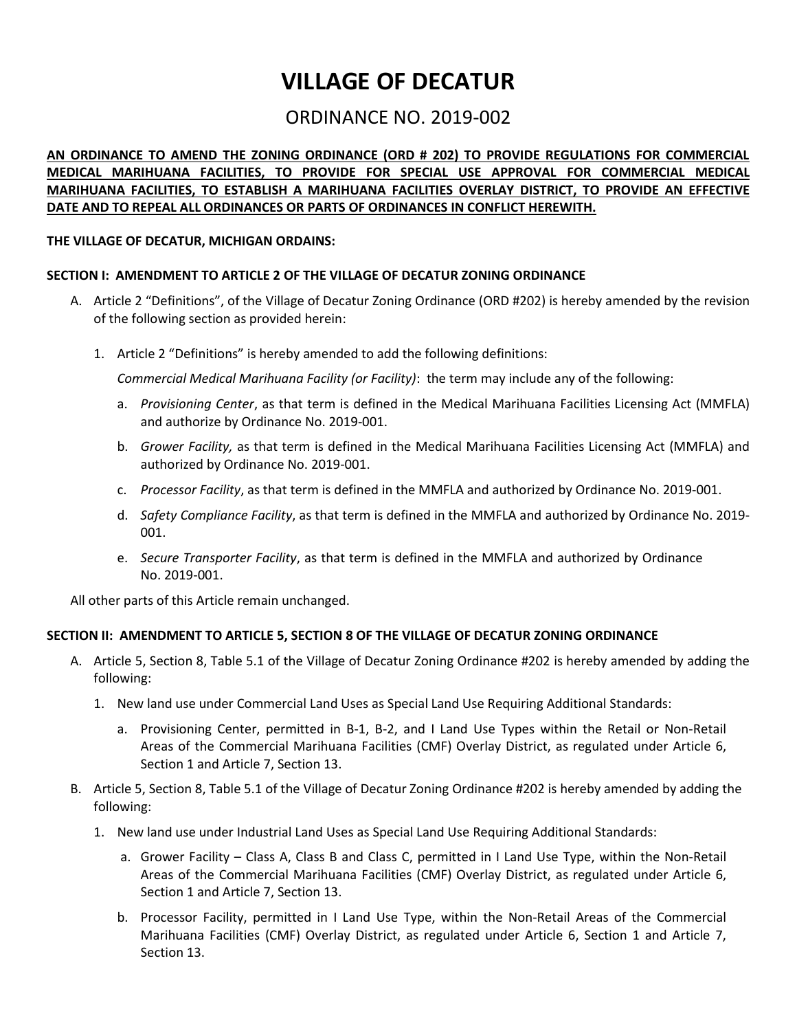# **VILLAGE OF DECATUR**

## ORDINANCE NO. 2019-002

### **AN ORDINANCE TO AMEND THE ZONING ORDINANCE (ORD # 202) TO PROVIDE REGULATIONS FOR COMMERCIAL MEDICAL MARIHUANA FACILITIES, TO PROVIDE FOR SPECIAL USE APPROVAL FOR COMMERCIAL MEDICAL MARIHUANA FACILITIES, TO ESTABLISH A MARIHUANA FACILITIES OVERLAY DISTRICT, TO PROVIDE AN EFFECTIVE DATE AND TO REPEAL ALL ORDINANCES OR PARTS OF ORDINANCES IN CONFLICT HEREWITH.**

### **THE VILLAGE OF DECATUR, MICHIGAN ORDAINS:**

### **SECTION I: AMENDMENT TO ARTICLE 2 OF THE VILLAGE OF DECATUR ZONING ORDINANCE**

- A. Article 2 "Definitions", of the Village of Decatur Zoning Ordinance (ORD #202) is hereby amended by the revision of the following section as provided herein:
	- 1. Article 2 "Definitions" is hereby amended to add the following definitions:

*Commercial Medical Marihuana Facility (or Facility)*: the term may include any of the following:

- a. *Provisioning Center*, as that term is defined in the Medical Marihuana Facilities Licensing Act (MMFLA) and authorize by Ordinance No. 2019-001.
- b. *Grower Facility,* as that term is defined in the Medical Marihuana Facilities Licensing Act (MMFLA) and authorized by Ordinance No. 2019-001.
- c. *Processor Facility*, as that term is defined in the MMFLA and authorized by Ordinance No. 2019-001.
- d. *Safety Compliance Facility*, as that term is defined in the MMFLA and authorized by Ordinance No. 2019- 001.
- e. *Secure Transporter Facility*, as that term is defined in the MMFLA and authorized by Ordinance No. 2019-001.

All other parts of this Article remain unchanged.

### **SECTION II: AMENDMENT TO ARTICLE 5, SECTION 8 OF THE VILLAGE OF DECATUR ZONING ORDINANCE**

- A. Article 5, Section 8, Table 5.1 of the Village of Decatur Zoning Ordinance #202 is hereby amended by adding the following:
	- 1. New land use under Commercial Land Uses as Special Land Use Requiring Additional Standards:
		- a. Provisioning Center, permitted in B-1, B-2, and I Land Use Types within the Retail or Non-Retail Areas of the Commercial Marihuana Facilities (CMF) Overlay District, as regulated under Article 6, Section 1 and Article 7, Section 13.
- B. Article 5, Section 8, Table 5.1 of the Village of Decatur Zoning Ordinance #202 is hereby amended by adding the following:
	- 1. New land use under Industrial Land Uses as Special Land Use Requiring Additional Standards:
		- a. Grower Facility Class A, Class B and Class C, permitted in I Land Use Type, within the Non-Retail Areas of the Commercial Marihuana Facilities (CMF) Overlay District, as regulated under Article 6, Section 1 and Article 7, Section 13.
		- b. Processor Facility, permitted in I Land Use Type, within the Non-Retail Areas of the Commercial Marihuana Facilities (CMF) Overlay District, as regulated under Article 6, Section 1 and Article 7, Section 13.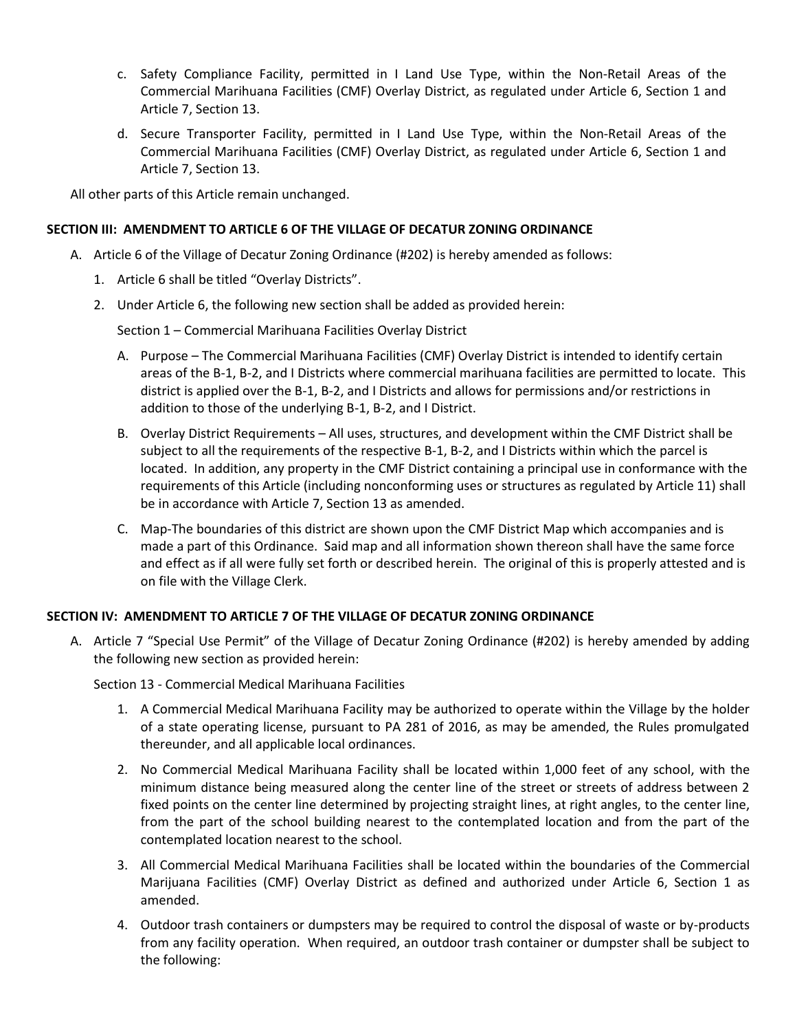- c. Safety Compliance Facility, permitted in I Land Use Type, within the Non-Retail Areas of the Commercial Marihuana Facilities (CMF) Overlay District, as regulated under Article 6, Section 1 and Article 7, Section 13.
- d. Secure Transporter Facility, permitted in I Land Use Type, within the Non-Retail Areas of the Commercial Marihuana Facilities (CMF) Overlay District, as regulated under Article 6, Section 1 and Article 7, Section 13.

All other parts of this Article remain unchanged.

### **SECTION III: AMENDMENT TO ARTICLE 6 OF THE VILLAGE OF DECATUR ZONING ORDINANCE**

- A. Article 6 of the Village of Decatur Zoning Ordinance (#202) is hereby amended as follows:
	- 1. Article 6 shall be titled "Overlay Districts".
	- 2. Under Article 6, the following new section shall be added as provided herein:

Section 1 – Commercial Marihuana Facilities Overlay District

- A. Purpose The Commercial Marihuana Facilities (CMF) Overlay District is intended to identify certain areas of the B-1, B-2, and I Districts where commercial marihuana facilities are permitted to locate. This district is applied over the B-1, B-2, and I Districts and allows for permissions and/or restrictions in addition to those of the underlying B-1, B-2, and I District.
- B. Overlay District Requirements All uses, structures, and development within the CMF District shall be subject to all the requirements of the respective B-1, B-2, and I Districts within which the parcel is located. In addition, any property in the CMF District containing a principal use in conformance with the requirements of this Article (including nonconforming uses or structures as regulated by Article 11) shall be in accordance with Article 7, Section 13 as amended.
- C. Map-The boundaries of this district are shown upon the CMF District Map which accompanies and is made a part of this Ordinance. Said map and all information shown thereon shall have the same force and effect as if all were fully set forth or described herein. The original of this is properly attested and is on file with the Village Clerk.

### **SECTION IV: AMENDMENT TO ARTICLE 7 OF THE VILLAGE OF DECATUR ZONING ORDINANCE**

A. Article 7 "Special Use Permit" of the Village of Decatur Zoning Ordinance (#202) is hereby amended by adding the following new section as provided herein:

Section 13 - Commercial Medical Marihuana Facilities

- 1. A Commercial Medical Marihuana Facility may be authorized to operate within the Village by the holder of a state operating license, pursuant to PA 281 of 2016, as may be amended, the Rules promulgated thereunder, and all applicable local ordinances.
- 2. No Commercial Medical Marihuana Facility shall be located within 1,000 feet of any school, with the minimum distance being measured along the center line of the street or streets of address between 2 fixed points on the center line determined by projecting straight lines, at right angles, to the center line, from the part of the school building nearest to the contemplated location and from the part of the contemplated location nearest to the school.
- 3. All Commercial Medical Marihuana Facilities shall be located within the boundaries of the Commercial Marijuana Facilities (CMF) Overlay District as defined and authorized under Article 6, Section 1 as amended.
- 4. Outdoor trash containers or dumpsters may be required to control the disposal of waste or by-products from any facility operation. When required, an outdoor trash container or dumpster shall be subject to the following: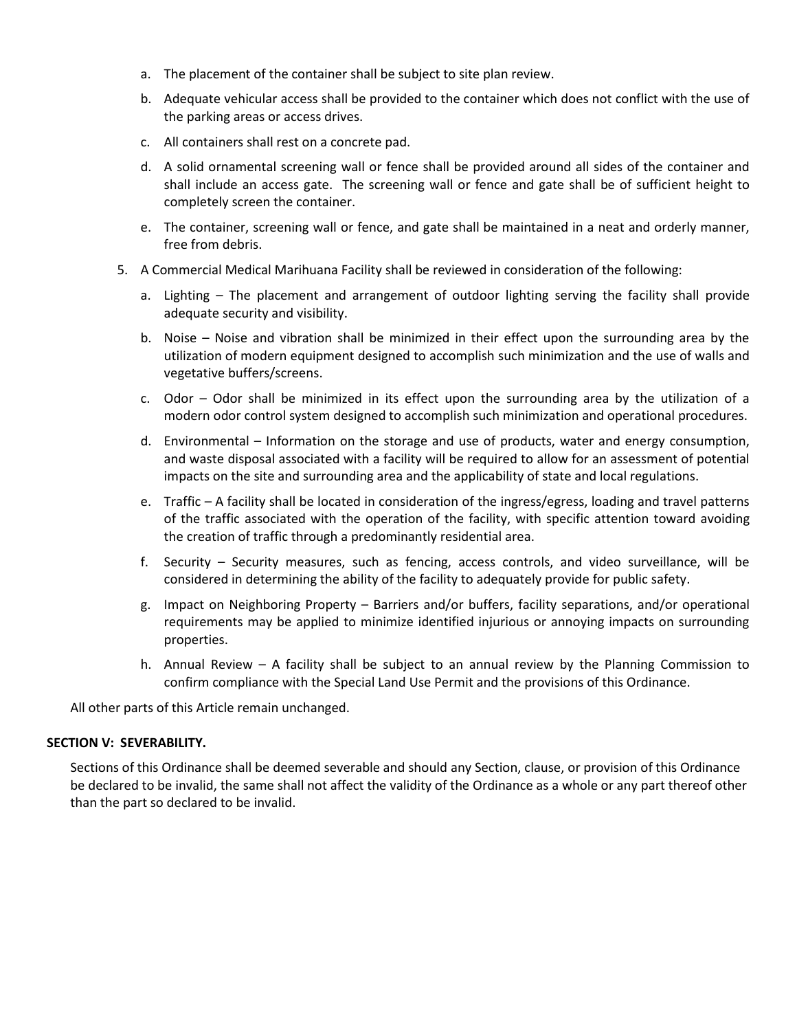- a. The placement of the container shall be subject to site plan review.
- b. Adequate vehicular access shall be provided to the container which does not conflict with the use of the parking areas or access drives.
- c. All containers shall rest on a concrete pad.
- d. A solid ornamental screening wall or fence shall be provided around all sides of the container and shall include an access gate. The screening wall or fence and gate shall be of sufficient height to completely screen the container.
- e. The container, screening wall or fence, and gate shall be maintained in a neat and orderly manner, free from debris.
- 5. A Commercial Medical Marihuana Facility shall be reviewed in consideration of the following:
	- a. Lighting The placement and arrangement of outdoor lighting serving the facility shall provide adequate security and visibility.
	- b. Noise Noise and vibration shall be minimized in their effect upon the surrounding area by the utilization of modern equipment designed to accomplish such minimization and the use of walls and vegetative buffers/screens.
	- c. Odor Odor shall be minimized in its effect upon the surrounding area by the utilization of a modern odor control system designed to accomplish such minimization and operational procedures.
	- d. Environmental Information on the storage and use of products, water and energy consumption, and waste disposal associated with a facility will be required to allow for an assessment of potential impacts on the site and surrounding area and the applicability of state and local regulations.
	- e. Traffic A facility shall be located in consideration of the ingress/egress, loading and travel patterns of the traffic associated with the operation of the facility, with specific attention toward avoiding the creation of traffic through a predominantly residential area.
	- f. Security Security measures, such as fencing, access controls, and video surveillance, will be considered in determining the ability of the facility to adequately provide for public safety.
	- g. Impact on Neighboring Property Barriers and/or buffers, facility separations, and/or operational requirements may be applied to minimize identified injurious or annoying impacts on surrounding properties.
	- h. Annual Review A facility shall be subject to an annual review by the Planning Commission to confirm compliance with the Special Land Use Permit and the provisions of this Ordinance.

All other parts of this Article remain unchanged.

### **SECTION V: SEVERABILITY.**

Sections of this Ordinance shall be deemed severable and should any Section, clause, or provision of this Ordinance be declared to be invalid, the same shall not affect the validity of the Ordinance as a whole or any part thereof other than the part so declared to be invalid.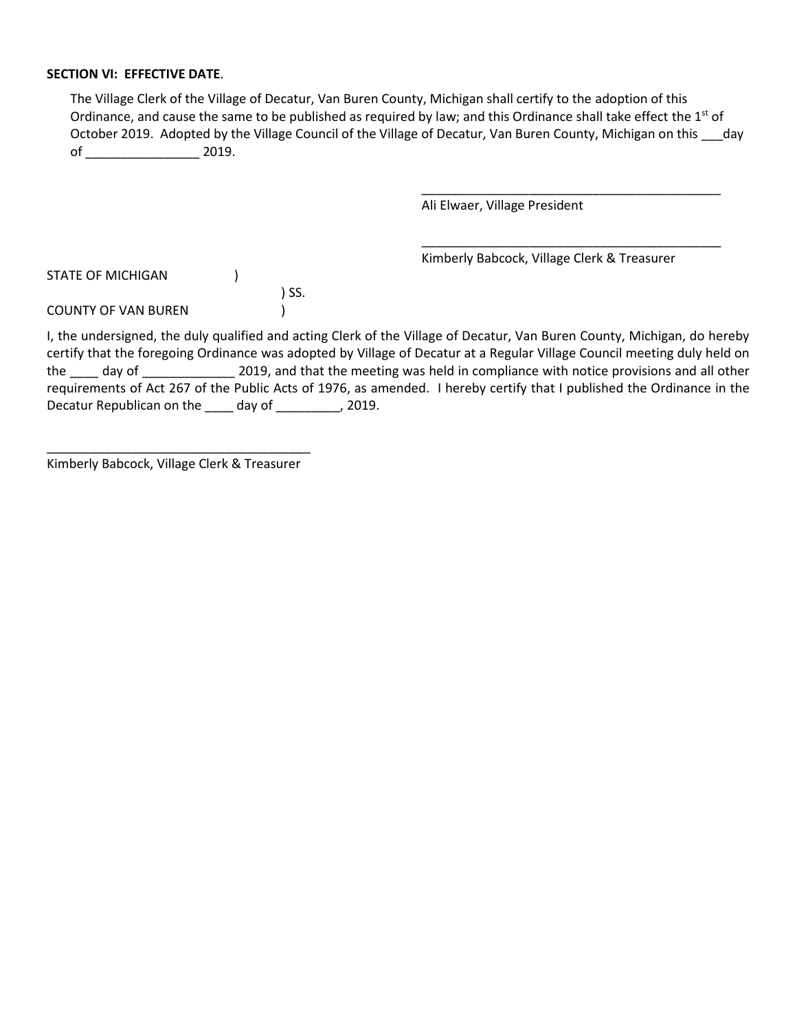### **SECTION VI: EFFECTIVE DATE**.

The Village Clerk of the Village of Decatur, Van Buren County, Michigan shall certify to the adoption of this Ordinance, and cause the same to be published as required by law; and this Ordinance shall take effect the 1<sup>st</sup> of October 2019. Adopted by the Village Council of the Village of Decatur, Van Buren County, Michigan on this \_\_\_day of \_\_\_\_\_\_\_\_\_\_\_\_\_\_\_\_\_\_\_\_\_\_\_\_\_\_ 2019.

Ali Elwaer, Village President

Kimberly Babcock, Village Clerk & Treasurer

\_\_\_\_\_\_\_\_\_\_\_\_\_\_\_\_\_\_\_\_\_\_\_\_\_\_\_\_\_\_\_\_\_\_\_\_\_\_\_\_\_\_

\_\_\_\_\_\_\_\_\_\_\_\_\_\_\_\_\_\_\_\_\_\_\_\_\_\_\_\_\_\_\_\_\_\_\_\_\_\_\_\_\_\_

| STATE OF MICHIGAN          |       |
|----------------------------|-------|
|                            | ) SS. |
| <b>COUNTY OF VAN BUREN</b> |       |

I, the undersigned, the duly qualified and acting Clerk of the Village of Decatur, Van Buren County, Michigan, do hereby certify that the foregoing Ordinance was adopted by Village of Decatur at a Regular Village Council meeting duly held on the day of 2019, and that the meeting was held in compliance with notice provisions and all other requirements of Act 267 of the Public Acts of 1976, as amended. I hereby certify that I published the Ordinance in the Decatur Republican on the \_\_\_\_ day of \_\_\_\_\_\_\_\_, 2019.

\_\_\_\_\_\_\_\_\_\_\_\_\_\_\_\_\_\_\_\_\_\_\_\_\_\_\_\_\_\_\_\_\_\_\_\_\_ Kimberly Babcock, Village Clerk & Treasurer